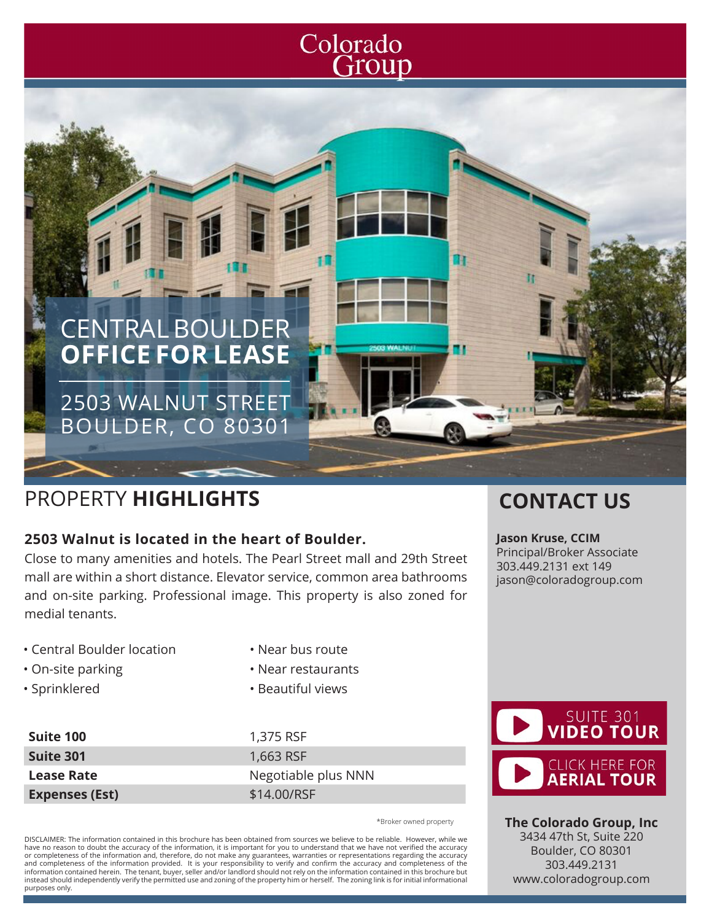# Colorado Group



## PROPERTY **HIGHLIGHTS CONTACT US**

### **2503 Walnut is located in the heart of Boulder.**

Close to many amenities and hotels. The Pearl Street mall and 29th Street mall are within a short distance. Elevator service, common area bathrooms and on-site parking. Professional image. This property is also zoned for medial tenants.

- Central Boulder location
- On-site parking
- Sprinklered

- Near bus route
- Near restaurants
- Beautiful views

**Suite 100** 1,375 RSF **Suite 301** 1,663 RSF **Lease Rate** Negotiable plus NNN **Expenses (Est)** \$14.00/RSF

\*Broker owned property

DISCLAIMER: The information contained in this brochure has been obtained from sources we believe to be reliable. However, while we have no reason to doubt the accuracy of the information, it is important for you to understand that we have not verified the accuracy or completeness of the information and, therefore, do not make any guarantees, warranties or representations regarding the accuracy<br>and completeness of the information provided. It is your responsibility to verify and con information contained herein. The tenant, buyer, seller and/or landlord should not rely on the information contained in this brochure but instead should independently verify the permitted use and zoning of the property him or herself. The zoning link is for initial informational purposes only.

**Jason Kruse, CCIM** Principal/Broker Associate 303.449.2131 ext 149 jason@coloradogroup.com



**The Colorado Group, Inc** 3434 47th St, Suite 220 Boulder, CO 80301 303.449.2131 www.coloradogroup.com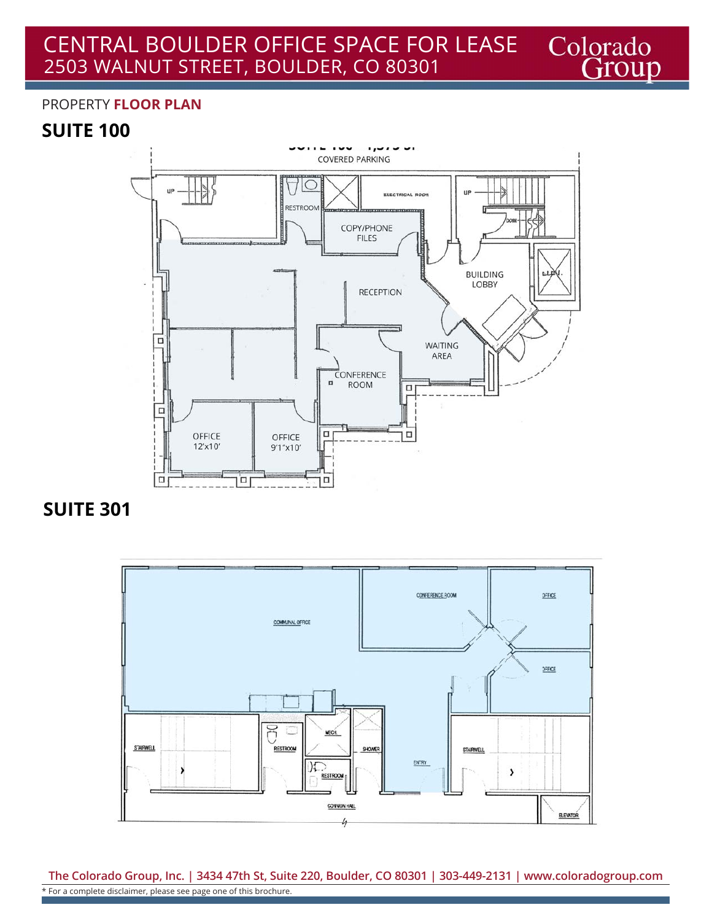#### CENTRAL BOULDER OFFICE SPACE FOR LEASE Colorado<br>Group 2503 WALNUT STREET, BOULDER, CO 80301

#### PROPERTY **FLOOR PLAN**

## **SUITE 100**



**SUITE 301**



**The Colorado Group, Inc. | 3434 47th St, Suite 220, Boulder, CO 80301 | 303-449-2131 | www.coloradogroup.com** \* For a complete disclaimer, please see page one of this brochure